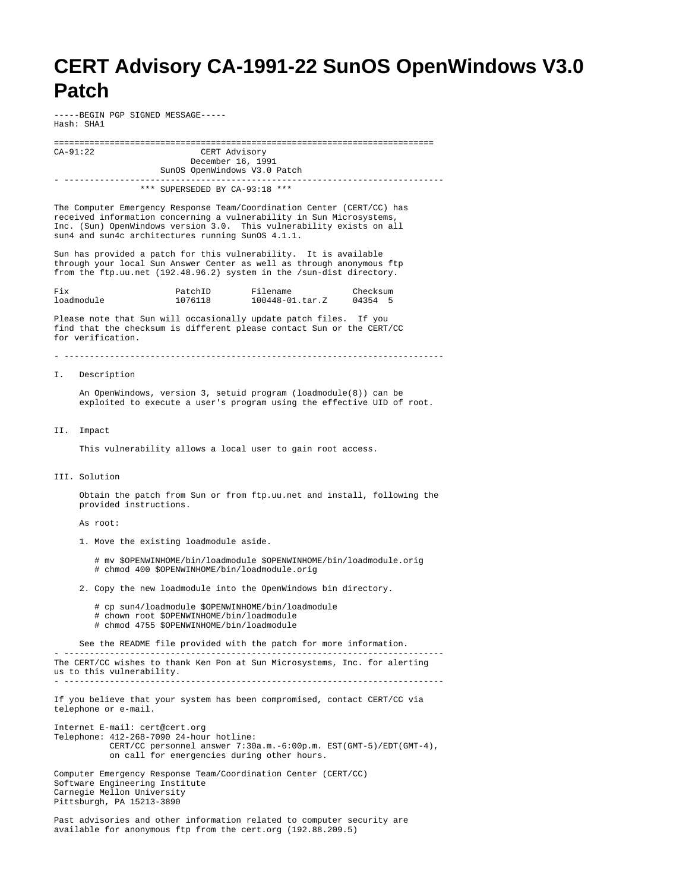## **CERT Advisory CA-1991-22 SunOS OpenWindows V3.0 Patch**

-----BEGIN PGP SIGNED MESSAGE----- Hash: SHA1

=========================================================================== CERT Advisory December 16, 1991 SunOS OpenWindows V3.0 Patch - ---------------------------------------------------------------------------

\*\*\* SUPERSEDED BY CA-93:18 \*\*\*

The Computer Emergency Response Team/Coordination Center (CERT/CC) has received information concerning a vulnerability in Sun Microsystems, Inc. (Sun) OpenWindows version 3.0. This vulnerability exists on all sun4 and sun4c architectures running SunOS 4.1.1.

Sun has provided a patch for this vulnerability. It is available through your local Sun Answer Center as well as through anonymous ftp from the ftp.uu.net (192.48.96.2) system in the /sun-dist directory.

| Fix        | PatchID | Filename        | Checksum |
|------------|---------|-----------------|----------|
| loadmodule | 1076118 | 100448-01.tar.Z | 04354 5  |

Please note that Sun will occasionally update patch files. If you find that the checksum is different please contact Sun or the CERT/CC for verification.

## - ---------------------------------------------------------------------------

I. Description

 An OpenWindows, version 3, setuid program (loadmodule(8)) can be exploited to execute a user's program using the effective UID of root.

## II. Impact

This vulnerability allows a local user to gain root access.

## III. Solution

 Obtain the patch from Sun or from ftp.uu.net and install, following the provided instructions.

As root:

1. Move the existing loadmodule aside.

 # mv \$OPENWINHOME/bin/loadmodule \$OPENWINHOME/bin/loadmodule.orig # chmod 400 \$OPENWINHOME/bin/loadmodule.orig

2. Copy the new loadmodule into the OpenWindows bin directory.

- # cp sun4/loadmodule \$OPENWINHOME/bin/loadmodule # chown root \$OPENWINHOME/bin/loadmodule
- # chmod 4755 \$OPENWINHOME/bin/loadmodule

 See the README file provided with the patch for more information. - --------------------------------------------------------------------------- The CERT/CC wishes to thank Ken Pon at Sun Microsystems, Inc. for alerting us to this vulnerability.

- ---------------------------------------------------------------------------

If you believe that your system has been compromised, contact CERT/CC via telephone or e-mail.

Internet E-mail: cert@cert.org Telephone: 412-268-7090 24-hour hotline: CERT/CC personnel answer 7:30a.m.-6:00p.m. EST(GMT-5)/EDT(GMT-4), on call for emergencies during other hours. Computer Emergency Response Team/Coordination Center (CERT/CC)

Software Engineering Institute Carnegie Mellon University Pittsburgh, PA 15213-3890

Past advisories and other information related to computer security are available for anonymous ftp from the cert.org (192.88.209.5)